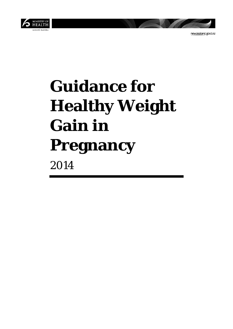

newzealand.govt.nz

# **Guidance for Healthy Weight Gain in Pregnancy** 2014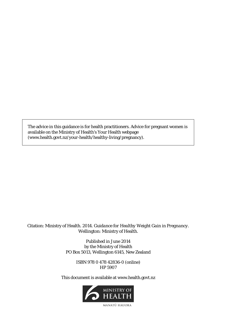The advice in this guidance is for health practitioners. Advice for pregnant women is available on the Ministry of Health's Your Health webpage (www.health.govt.nz/your-health/healthy-living/pregnancy).

#### Citation: Ministry of Health. 2014. *Guidance for Healthy Weight Gain in Pregnancy*. Wellington: Ministry of Health.

Published in June 2014 by the Ministry of Health PO Box 5013, Wellington 6145, New Zealand

> ISBN 978 0 478 42836-0 (online) HP 5907

This document is available at www.health.govt.nz



MANATU HAUORA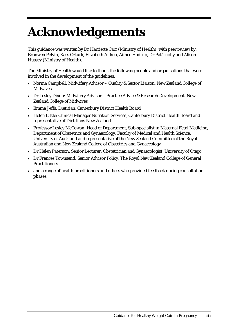## **Acknowledgements**

This guidance was written by Dr Harriette Carr (Ministry of Health), with peer review by: Bronwen Pelvin, Kass Ozturk, Elizabeth Aitken, Aimee Hadrup, Dr Pat Tuohy and Alison Hussey (Ministry of Health).

The Ministry of Health would like to thank the following people and organisations that were involved in the development of the guidelines:

- Norma Campbell: Midwifery Advisor Quality & Sector Liaison, New Zealand College of **Midwives**
- Dr Lesley Dixon: Midwifery Advisor Practice Advice & Research Development, New Zealand College of Midwives
- Emma Jeffs: Dietitian, Canterbury District Health Board
- Helen Little: Clinical Manager Nutrition Services, Canterbury District Health Board and representative of Dietitians New Zealand
- Professor Lesley McCowan: Head of Department, Sub-specialist in Maternal Fetal Medicine, Department of Obstetrics and Gynaecology, Faculty of Medical and Health Science, University of Auckland and representative of the New Zealand Committee of the Royal Australian and New Zealand College of Obstetrics and Gynaecology
- Dr Helen Paterson: Senior Lecturer, Obstetrician and Gynaecologist, University of Otago
- Dr Frances Townsend: Senior Advisor Policy, The Royal New Zealand College of General Practitioners
- and a range of health practitioners and others who provided feedback during consultation phases.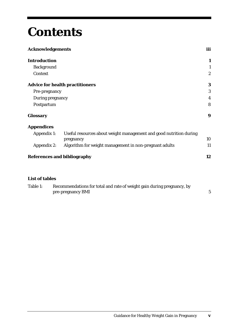## **Contents**

| <b>Acknowledgements</b> |                                                                    |                  |
|-------------------------|--------------------------------------------------------------------|------------------|
| <b>Introduction</b>     |                                                                    | 1                |
| <b>Background</b>       |                                                                    | 1                |
| Context                 |                                                                    | $\boldsymbol{2}$ |
|                         | <b>Advice for health practitioners</b>                             | 3                |
| Pre-pregnancy           |                                                                    | 3                |
| During pregnancy        |                                                                    | $\overline{4}$   |
| Postpartum              |                                                                    | 8                |
| <b>Glossary</b>         |                                                                    | $\boldsymbol{9}$ |
| <b>Appendices</b>       |                                                                    |                  |
| Appendix 1:             | Useful resources about weight management and good nutrition during |                  |
|                         | pregnancy                                                          | 10               |
| <b>Appendix 2:</b>      | Algorithm for weight management in non-pregnant adults             | 11               |
|                         | <b>References and bibliography</b>                                 | 12               |

#### **List of tables**

| Table 1: | Recommendations for total and rate of weight gain during pregnancy, by |  |
|----------|------------------------------------------------------------------------|--|
|          | pre-pregnancy BMI                                                      |  |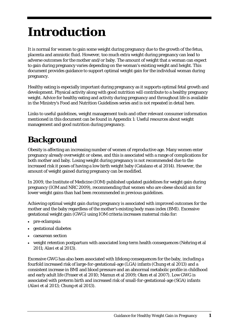## **Introduction**

It is normal for women to gain some weight during pregnancy due to the growth of the fetus, placenta and amniotic fluid. However, too much extra weight during pregnancy can lead to adverse outcomes for the mother and/or baby. The amount of weight that a woman can expect to gain during pregnancy varies depending on the woman's existing weight and height. This document provides guidance to support optimal weight gain for the individual woman during pregnancy.

Healthy eating is especially important during pregnancy as it supports optimal fetal growth and development. Physical activity along with good nutrition will contribute to a healthy pregnancy weight. Advice for healthy eating and activity during pregnancy and throughout life is available in the Ministry's Food and Nutrition Guidelines series and is not repeated in detail here.

Links to useful guidelines, weight management tools and other relevant consumer information mentioned in this document can be found in Appendix 1: Useful resources about weight management and good nutrition during pregnancy.

### **Background**

Obesity is affecting an increasing number of women of reproductive age. Many women enter pregnancy already overweight or obese, and this is associated with a range of complications for both mother and baby. Losing weight during pregnancy is not recommended due to the increased risk it poses of having a low birth weight baby (Catalano et al 2014). However, the amount of weight gained during pregnancy can be modified.

In 2009, the Institute of Medicine (IOM) published updated guidelines for weight gain during pregnancy (IOM and NRC 2009), recommending that women who are obese should aim for lower weight gains than had been recommended in previous guidelines.

Achieving optimal weight gain during pregnancy is associated with improved outcomes for the mother and the baby regardless of the mother's existing body mass index (BMI). Excessive gestational weight gain (GWG) using IOM criteria increases maternal risks for:

- pre-eclampsia
- gestational diabetes
- caesarean section
- weight retention postpartum with associated long-term health consequences (Nehring et al 2011; Alavi et al 2013).

Excessive GWG has also been associated with lifelong consequences for the baby, including a fourfold increased risk of large-for-gestational-age (LGA) infants (Chung et al 2013) and a consistent increase in BMI and blood pressure and an abnormal metabolic profile in childhood and early adult life (Fraser et al 2010; Mamun et al 2009; Oken et al 2007). Low GWG is associated with preterm birth and increased risk of small-for-gestational-age (SGA) infants (Alavi et al 2013; Chung et al 2013).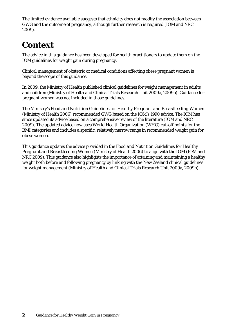The limited evidence available suggests that ethnicity does not modify the association between GWG and the outcome of pregnancy, although further research is required (IOM and NRC 2009).

### **Context**

The advice in this guidance has been developed for health practitioners to update them on the IOM guidelines for weight gain during pregnancy.

Clinical management of obstetric or medical conditions affecting obese pregnant women is beyond the scope of this guidance.

In 2009, the Ministry of Health published clinical guidelines for weight management in adults and children (Ministry of Health and Clinical Trials Research Unit 2009a, 2009b). Guidance for pregnant women was not included in those guidelines.

The Ministry's *Food and Nutrition Guidelines for Healthy Pregnant and Breastfeeding Women* (Ministry of Health 2006) recommended GWG based on the IOM's 1990 advice. The IOM has since updated its advice based on a comprehensive review of the literature (IOM and NRC 2009). The updated advice now uses World Health Organization (WHO) cut-off points for the BMI categories and includes a specific, relatively narrow range in recommended weight gain for obese women.

This guidance updates the advice provided in the *Food and Nutrition Guidelines for Healthy Pregnant and Breastfeeding Women* (Ministry of Health 2006) to align with the IOM (IOM and NRC 2009). This guidance also highlights the importance of attaining and maintaining a healthy weight both before and following pregnancy by linking with the New Zealand clinical guidelines for weight management (Ministry of Health and Clinical Trials Research Unit 2009a, 2009b).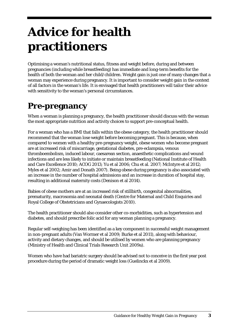## **Advice for health practitioners**

Optimising a woman's nutritional status, fitness and weight before, during and between pregnancies (including while breastfeeding) has immediate and long-term benefits for the health of both the woman and her child/children. Weight gain is just one of many changes that a woman may experience during pregnancy. It is important to consider weight gain in the context of all factors in the woman's life. It is envisaged that health practitioners will tailor their advice with sensitivity to the woman's personal circumstances.

### **Pre-pregnancy**

When a woman is planning a pregnancy, the health practitioner should discuss with the woman the most appropriate nutrition and activity choices to support pre-conceptual health.

For a woman who has a BMI that falls within the obese category, the health practitioner should recommend that the woman lose weight before becoming pregnant. This is because, when compared to women with a healthy pre-pregnancy weight, obese women who become pregnant are at increased risk of miscarriage, gestational diabetes, pre-eclampsia, venous thromboembolism, induced labour, caesarean section, anaesthetic complications and wound infections and are less likely to initiate or maintain breastfeeding (National Institute of Health and Care Excellence 2010; ACOG 2013; Yu et al 2006; Chu et al. 2007; McIntyre et al 2012; Myles et al 2002; Amir and Donath 2007). Being obese during pregnancy is also associated with an increase in the number of hospital admissions and an increase in duration of hospital stay, resulting in additional maternity costs (Denison et al 2014).

Babies of obese mothers are at an increased risk of stillbirth, congenital abnormalities, prematurity, macrosomia and neonatal death (Centre for Maternal and Child Enquiries and Royal College of Obstetricians and Gynaecologists 2010).

The health practitioner should also consider other co-morbidities, such as hypertension and diabetes, and should prescribe folic acid for any woman planning a pregnancy.

Regular self-weighing has been identified as a key component in successful weight management in non-pregnant adults (Van Wormer et al 2009; Burke et al 2011), along with behaviour, activity and dietary changes, and should be utilised by women who are planning pregnancy (Ministry of Health and Clinical Trials Research Unit 2009a).

Women who have had bariatric surgery should be advised not to conceive in the first year post procedure during the period of dramatic weight loss (Guelinckx et al 2009).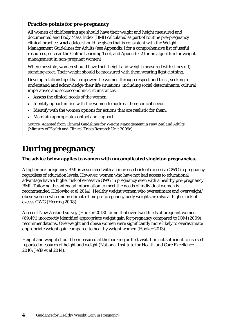#### **Practice points for pre-pregnancy**

All women of childbearing age should have their weight and height measured and documented and Body Mass Index (BMI) calculated as part of routine pre-pregnancy clinical practice, **and** advice should be given that is consistent with the Weight Management Guidelines for Adults (see Appendix 1 for a comprehensive list of useful resources, such as the Online Learning Tool, and Appendix 2 for an algorithm for weight management in non-pregnant women).

Where possible, women should have their height and weight measured with shoes off, standing erect. Their weight should be measured with them wearing light clothing.

Develop relationships that empower the women through respect and trust, seeking to understand and acknowledge their life situations, including social determinants, cultural imperatives and socioeconomic circumstances.

- Assess the clinical needs of the women.
- Identify opportunities with the women to address their clinical needs.
- Identify with the women options for actions that are realistic for them.
- Maintain appropriate contact and support.

Source: Adapted from *Clinical Guidelines for Weight Management in New Zealand Adults* (Ministry of Health and Clinical Trials Research Unit 2009a)

### **During pregnancy**

#### **The advice below applies to women with uncomplicated singleton pregnancies.**

A higher pre-pregnancy BMI is associated with an increased risk of excessive GWG in pregnancy regardless of education levels. However, women who have not had access to educational advantage have a higher risk of excessive GWG in pregnancy even with a healthy pre-pregnancy BMI. Tailoring the antenatal information to meet the needs of individual women is recommended (Holowko et al 2014). Healthy weight women who overestimate and overweight/ obese women who underestimate their pre-pregnancy body weights are also at higher risk of excess GWG (Herring 2008).

A recent New Zealand survey (Hooker 2013) found that over two-thirds of pregnant women (69.4%) incorrectly identified appropriate weight gain for pregnancy compared to IOM (2009) recommendations. Overweight and obese women were significantly more likely to overestimate appropriate weight gain compared to healthy weight women (Hooker 2013).

Height and weight should be measured at the booking or first visit. It is not sufficient to use selfreported measures of height and weight (National Institute for Health and Care Excellence 2010; Jeffs et al 2014).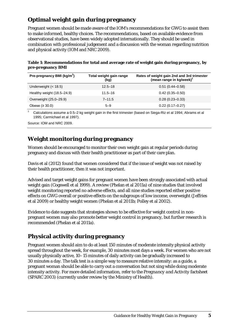#### **Optimal weight gain during pregnancy**

Pregnant women should be made aware of the IOM's recommendations for GWG to assist them to make informed, healthy choices. The recommendations, based on available evidence from observational studies, have been widely adopted internationally. They should be used in combination with professional judgement and a discussion with the woman regarding nutrition and physical activity (IOM and NRC 2009).

| Table 1: Recommendations for total and average rate of weight gain during pregnancy, by |  |  |
|-----------------------------------------------------------------------------------------|--|--|
| pre-pregnancy BMI                                                                       |  |  |
|                                                                                         |  |  |

| Pre-pregnancy BMI (kg/m <sup>2</sup> ) | Total weight gain range<br>(kg) | Rates of weight gain 2nd and 3rd trimester<br>(mean range in kg/week) <sup>1</sup> |
|----------------------------------------|---------------------------------|------------------------------------------------------------------------------------|
| Underweight $(< 18.5)$                 | $12.5 - 18$                     | $0.51(0.44 - 0.58)$                                                                |
| Healthy weight $(18.5-24.9)$           | $11.5 - 16$                     | $0.42(0.35 - 0.50)$                                                                |
| Overweight (25.0–29.9)                 | $7 - 11.5$                      | $0.28(0.23 - 0.33)$                                                                |
| Obese $(≥ 30.0)$                       | $5 - 9$                         | $0.22(0.17 - 0.27)$                                                                |

<sup>1</sup> Calculations assume a 0.5–2 kg weight gain in the first trimester (based on Siega-Riz et al 1994; Abrams et al 1995; Carmichael et al 1997).

Source: IOM and NRC 2009.

#### **Weight monitoring during pregnancy**

Women should be encouraged to monitor their own weight gain at regular periods during pregnancy and discuss with their health practitioner as part of their care plan.

Davis et al (2012) found that women considered that if the issue of weight was not raised by their health practitioner, then it was not important.

Advised and target weight gains for pregnant women have been strongly associated with actual weight gain (Cogswell et al 1999). A review (Phelan et al 2011a) of nine studies that involved weight monitoring reported no adverse effects, and all nine studies reported either positive effects on GWG overall or positive effects on the subgroups of low income, overweight (Jeffries et al 2009) or healthy weight women (Phelan et al 2011b; Polley et al 2002).

Evidence to date suggests that strategies shown to be effective for weight control in nonpregnant women may also promote better weight control in pregnancy, but further research is recommended (Phelan et al 2011a).

#### **Physical activity during pregnancy**

Pregnant women should aim to do at least 150 minutes of moderate intensity physical activity spread throughout the week, for example, 30 minutes most days a week. For women who are not usually physically active, 10–15 minutes of daily activity can be gradually increased to 30 minutes a day. The talk test is a simple way to measure relative intensity: as a guide, a pregnant woman should be able to carry out a conversation but not sing while doing moderate intensity activity. For more detailed information, refer to the *Pregnancy and Activity* factsheet (SPARC 2003) (currently under review by the Ministry of Health)*.*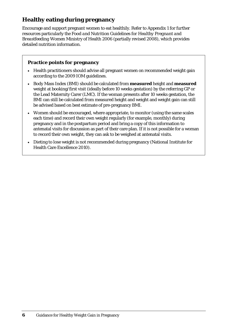#### **Healthy eating during pregnancy**

Encourage and support pregnant women to eat healthily. Refer to Appendix 1 for further resources particularly the *Food and Nutrition Guidelines for Healthy Pregnant and Breastfeeding Women* Ministry of Health 2006 (partially revised 2008), which provides detailed nutrition information.

#### **Practice points for pregnancy**

- Health practitioners should advise all pregnant women on recommended weight gain according to the 2009 IOM guidelines.
- Body Mass Index (BMI) should be calculated from **measured** height and **measured**  weight at booking/first visit (ideally before 10 weeks gestation) by the referring GP or the Lead Maternity Carer (LMC). If the woman presents after 10 weeks gestation, the BMI can still be calculated from measured height and weight and weight gain can still be advised based on best estimate of pre-pregnancy BMI.
- Women should be encouraged, where appropriate, to monitor (using the same scales each time) and record their own weight regularly (for example, monthly) during pregnancy and in the postpartum period and bring a copy of this information to antenatal visits for discussion as part of their care plan. If it is not possible for a woman to record their own weight, they can ask to be weighed at antenatal visits.
- Dieting to lose weight is not recommended during pregnancy (National Institute for Health Care Excellence 2010).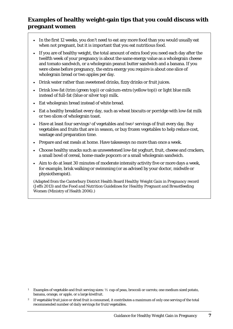#### **Examples of healthy weight-gain tips that you could discuss with pregnant women**

- In the first 12 weeks, you don't need to eat any more food than you would usually eat when not pregnant, but it is important that you eat nutritious food.
- If you are of healthy weight, the total amount of extra food you need each day after the twelfth week of your pregnancy is about the same energy value as a wholegrain cheese and tomato sandwich, or a wholegrain peanut butter sandwich and a banana. If you were obese before pregnancy, the extra energy you require is about one slice of wholegrain bread or two apples per day.
- Drink water rather than sweetened drinks, fizzy drinks or fruit juices.
- Drink low-fat (trim (green top)) or calcium-extra (yellow top)) or light blue milk instead of full-fat (blue or silver top) milk.
- Eat wholegrain bread instead of white bread.
- Eat a healthy breakfast every day, such as wheat biscuits or porridge with low-fat milk or two slices of wholegrain toast.
- Have at least four servings<sup>[1](#page-12-0)</sup> of vegetables and two<sup>[2](#page-12-1)</sup> servings of fruit every day. Buy vegetables and fruits that are in season, or buy frozen vegetables to help reduce cost, wastage and preparation time.
- Prepare and eat meals at home. Have takeaways no more than once a week.
- Choose healthy snacks such as unsweetened low-fat yoghurt, fruit, cheese and crackers, a small bowl of cereal, home-made popcorn or a small wholegrain sandwich.
- Aim to do at least 30 minutes of moderate intensity activity five or more days a week, for example, brisk walking or swimming (or as advised by your doctor, midwife or physiotherapist).

(Adapted from the Canterbury District Health Board *Healthy Weight Gain in Pregnancy* record (Jeffs 2013) and the *Food and Nutrition Guidelines for Healthy Pregnant and Breastfeeding Women* (Ministry of Health 2006).)

<span id="page-12-0"></span><sup>1</sup> Examples of vegetable and fruit serving sizes: ½ cup of peas, broccoli or carrots; one medium sized potato, banana, orange, or apple, or a large kiwifruit.

<span id="page-12-1"></span><sup>2</sup> If vegetable/fruit juice or dried fruit is consumed, it contributes a maximum of only one serving of the total recommended number of daily servings for fruit/vegetables.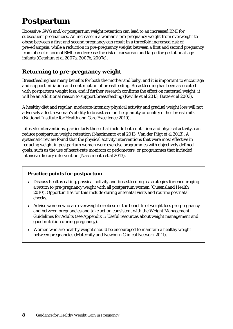### **Postpartum**

Excessive GWG and/or postpartum weight retention can lead to an increased BMI for subsequent pregnancies. An increase in a woman's pre-pregnancy weight from overweight to obese between a first and second pregnancy can result in a threefold increased risk of pre-eclampsia, while a reduction in pre-pregnancy weight between a first and second pregnancy from obese to normal BMI can decrease the risk of caesarean and large-for-gestational-age infants (Getahun et al 2007a, 2007b, 2007c).

#### **Returning to pre-pregnancy weight**

Breastfeeding has many benefits for both the mother and baby, and it is important to encourage and support initiation and continuation of breastfeeding. Breastfeeding has been associated with postpartum weight loss, and if further research confirms the effect on maternal weight, it will be an additional reason to support breastfeeding (Neville et al 2013; Butte et al 2003).

A healthy diet and regular, moderate-intensity physical activity and gradual weight loss will not adversely affect a woman's ability to breastfeed or the quantity or quality of her breast milk (National Institute for Health and Care Excellence 2010).

Lifestyle interventions, particularly those that include both nutrition and physical activity, can reduce postpartum weight retention (Nascimento et al 2013; Van der Pligt et al 2013). A systematic review found that the physical activity interventions that were most effective in reducing weight in postpartum women were exercise programmes with objectively defined goals, such as the use of heart-rate monitors or pedometers, or programmes that included intensive dietary intervention (Nascimento et al 2013).

#### **Practice points for postpartum**

- Discuss healthy eating, physical activity and breastfeeding as strategies for encouraging a return to pre-pregnancy weight with all postpartum women (Queensland Health 2010). Opportunities for this include during antenatal visits and routine postnatal checks.
- Advise women who are overweight or obese of the benefits of weight loss pre-pregnancy and between pregnancies and take action consistent with the Weight Management Guidelines for Adults (see Appendix 1: Useful resources about weight management and good nutrition during pregnancy).
- Women who are healthy weight should be encouraged to maintain a healthy weight between pregnancies (Maternity and Newborn Clinical Network 2011).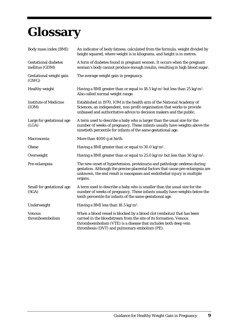## **Glossary**

| Body mass index (BMI)                         | An indicator of body fatness, calculated from the formula: weight divided by<br>height squared, where weight is in kilograms, and height is in metres.                                                                                                          |
|-----------------------------------------------|-----------------------------------------------------------------------------------------------------------------------------------------------------------------------------------------------------------------------------------------------------------------|
| <b>Gestational diabetes</b><br>mellitus (GDM) | A form of diabetes found in pregnant women. It occurs when the pregnant<br>woman's body cannot produce enough insulin, resulting in high blood sugar.                                                                                                           |
| Gestational weight gain<br>(GWG)              | The average weight gain in pregnancy.                                                                                                                                                                                                                           |
| <b>Healthy weight</b>                         | Having a BMI greater than or equal to 18.5 kg/m <sup>2</sup> but less than 25 kg/m <sup>2</sup> .<br>Also called normal weight range.                                                                                                                           |
| <b>Institute of Medicine</b><br>(IOM)         | Established in 1970, IOM is the health arm of the National Academy of<br>Sciences, an independent, non-profit organisation that works to provide<br>unbiased and authoritative advice to decision makers and the public.                                        |
| Large for gestational age<br>(LGA)            | A term used to describe a baby who is larger than the usual size for the<br>number of weeks of pregnancy. These infants usually have weights above the<br>ninetieth percentile for infants of the same gestational age.                                         |
| Macrosomia                                    | More than 4000 g at birth.                                                                                                                                                                                                                                      |
| Obese                                         | Having a BMI greater than or equal to 30.0 kg/m <sup>2</sup> .                                                                                                                                                                                                  |
| Overweight                                    | Having a BMI greater than or equal to 25.0 kg/m <sup>2</sup> but less than 30 kg/m <sup>2</sup> .                                                                                                                                                               |
| Pre-eclampsia                                 | The new onset of hypertension, proteinuria and pathologic oedema during<br>gestation. Although the precise placental factors that cause pre-eclampsia are<br>unknown, the end result is vasospasm and endothelial injury in multiple<br>organs.                 |
| Small for gestational age<br>(SGA)            | A term used to describe a baby who is smaller than the usual size for the<br>number of weeks of pregnancy. These infants usually have weights below the<br>tenth percentile for infants of the same gestational age.                                            |
| Underweight                                   | Having a BMI less than 18.5 kg/m <sup>2</sup> .                                                                                                                                                                                                                 |
| <b>Venous</b><br>thromboembolism              | When a blood vessel is blocked by a blood clot (embolus) that has been<br>carried in the bloodstream from the site of its formation. Venous<br>thromboembolism (VTE) is a disease that includes both deep vein<br>thrombosis (DVT) and pulmonary embolism (PE). |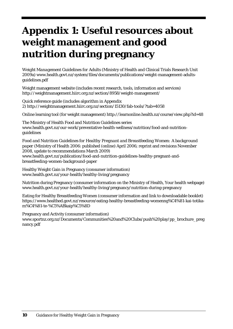## **Appendix 1: Useful resources about weight management and good nutrition during pregnancy**

*Weight Management Guidelines for Adults* (Ministry of Health and Clinical Trials Research Unit 2009a) [www.health.govt.nz/system/files/documents/publications/weight-management-adults](http://www.health.govt.nz/system/files/documents/publications/weight-management-adults-guidelines.pdf)[guidelines.pdf](http://www.health.govt.nz/system/files/documents/publications/weight-management-adults-guidelines.pdf)

Weight management website (includes recent research, tools, information and services) <http://weightmanagement.hiirc.org.nz/section/8958/weight-management/>

Quick reference guide (includes algorithm in Appendix 2) <http://weightmanagement.hiirc.org.nz/section/15130/fab-tools/?tab=4058>

Online learning tool (for weight management[\) http://learnonline.health.nz/course/view.php?id=48](http://learnonline.health.nz/course/view.php?id=48)

The Ministry of Health Food and Nutrition Guidelines series www.health.govt.nz/our-work/preventative-health-wellness/nutrition/food-and-nutritionguidelines

*Food and Nutrition Guidelines for Healthy Pregnant and Breastfeeding Women: A background paper* (Ministry of Health 2006: published (online) April 2006; reprint and revisions November 2008, update to recommendations March 2009) [www.health.govt.nz/publication/food-and-nutrition-guidelines-healthy-pregnant-and](http://www.health.govt.nz/publication/food-and-nutrition-guidelines-healthy-pregnant-and-breastfeeding-women-background-paper)[breastfeeding-women-background-paper](http://www.health.govt.nz/publication/food-and-nutrition-guidelines-healthy-pregnant-and-breastfeeding-women-background-paper)

Healthy Weight Gain in Pregnancy (consumer information) www.health.govt.nz/your-health/healthy-living/pregnancy

Nutrition during Pregnancy (consumer information on the Ministry of Health, Your health webpage) [www.health.govt.nz/your-health/healthy-living/pregnancy/nutrition-during-pregnancy](http://www.health.govt.nz/your-health/healthy-living/pregnancy/nutrition-during-pregnancy)

Eating for Healthy Breastfeeding Women (consumer information and link to downloadable booklet) [https://www.healthed.govt.nz/resource/eating-healthy-breastfeeding-womenng%C4%81-kai-totika](https://www.healthed.govt.nz/resource/eating-healthy-breastfeeding-womenng%C4%81-kai-totika-m%C4%81-te-%C5%ABkaip%C5%8D)[m%C4%81-te-%C5%ABkaip%C5%8D](https://www.healthed.govt.nz/resource/eating-healthy-breastfeeding-womenng%C4%81-kai-totika-m%C4%81-te-%C5%ABkaip%C5%8D)

Pregnancy and Activity (consumer information) [www.sportnz.org.nz/Documents/Communities%20and%20Clubs/push%20play/pp\\_brochure\\_preg](http://www.sportnz.org.nz/Documents/Communities%20and%20Clubs/push%20play/pp_brochure_pregnancy.pdf) [nancy.pdf](http://www.sportnz.org.nz/Documents/Communities%20and%20Clubs/push%20play/pp_brochure_pregnancy.pdf)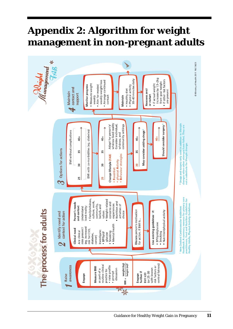### **Appendix 2: Algorithm for weight management in non-pregnant adults**

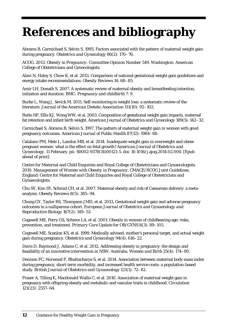## **References and bibliography**

Abrams B, Carmichael S, Selvin S. 1995. Factors associated with the pattern of maternal weight gain during pregnancy. *Obstetrics and Gynecology* 86(2): 170–76.

ACOG. 2013. *Obesity in Pregnancy: Committee Opinion Number 549*. Washington: American College of Obstetricians and Gynecologists.

Alavi N, Haley S, Chow K, et al. 2013. Comparison of national gestational weight gain guidelines and energy intake recommendations. *Obesity Reviews* 14: 68–85.

Amir LH, Donath S. 2007. A systematic review of maternal obesity and breastfeeding intention, initiation and duration. *BMC: Pregnancy and childbirth* 7: 9.

Burke L, Wang J, Sevick M. 2011. Self-monitoring in weight loss: a systematic review of the literature*. Journal of the American Dietetic Association* 111(10): 92–102.

Butte NF, Ellis KJ, Wong WW, et al. 2003. Composition of gestational weight gain impacts, maternal fat retention and infant birth weight. *American Journal of Obstetrics and Gynecology* 189(5): 142–32.

Carmichael S, Abrams B, Selvin S. 1997. The pattern of maternal weight gain in women with good pregnancy outcomes. *American Journal of Public Health* 87(12): 1984–88.

[Catalano PM,](http://www.ncbi.nlm.nih.gov/pubmed?term=Catalano%20PM%5BAuthor%5D&cauthor=true&cauthor_uid=24530820) [Mele L,](http://www.ncbi.nlm.nih.gov/pubmed?term=Mele%20L%5BAuthor%5D&cauthor=true&cauthor_uid=24530820) [Landon MB,](http://www.ncbi.nlm.nih.gov/pubmed?term=Landon%20MB%5BAuthor%5D&cauthor=true&cauthor_uid=24530820) et al. 2014. Inadequate weight gain in overweight and obese pregnant women: what is the effect on fetal growth? *[American Journal of Obstetrics and](http://www.ncbi.nlm.nih.gov/pubmed/24530820)  [Gynecology](http://www.ncbi.nlm.nih.gov/pubmed/24530820)*. 11 February. pii: S0002-9378(14)00121-5. doi: 10.1016/j.ajog.2014.02.004. [Epub ahead of print]

Centre for Maternal and Child Enquiries and Royal College of Obstetricians and Gynaecologists. 2010. *Management of Women with Obesity in Pregnancy. CMACE/RCOG Joint Guidelines.*  England: Centre for Maternal and Child Enquiries and Royal College of Obstetricians and Gynaecologists.

Chu SY, Kim SY, Schmid CH, et al. 2007. Maternal obesity and risk of Caesarean delivery: a metaanalysis. *Obesity Reviews* 8(5): 385–94.

Chung GY, Taylor RS, Thompson JMD, et al. 2013, Gestational weight gain and adverse pregnancy outcomes in a nulliparous cohort. *European Journal of Obstetrics and Gynaecology and Reproductive Biology* [167\(2\)](http://www.sciencedirect.com/science/journal/03012115/167/2): 149–53.

[Cogswell ME,](http://journals.ohiolink.edu/ejc/search.cgi?q=authorExact:%22Cogswell%2C%20Mary%20E.%22) [Perry GS,](http://journals.ohiolink.edu/ejc/search.cgi?q=authorExact:%22Perry%2C%20Geraldine%20S.%22) [Schieve LA,](http://journals.ohiolink.edu/ejc/search.cgi?q=authorExact:%22Schieve%2C%20Laura%20A.%22) [et al.](http://journals.ohiolink.edu/ejc/search.cgi?q=authorExact:%22Dietz%2C%20William%20H.%22) 2001. Obesity in women of childbearing age: risks, prevention, and treatment. *Primary Care Update for OB/GYNS* 8(3): 89–105.

Cogswell ME, Scanlon KS, et al. 1999. Medically advised, mother's personal target, and actual weight gain during pregnancy. *Obstetrics and Gynecology* 94(4): 616–22.

Davis D, Raymond J, Adams C, et al. 2012. Addressing obesity in pregnancy: the design and feasibility of an innovative intervention in NSW, Australia. *Women and Birth* 25(4): 174–80.

Denison FC, Norwood P, Bhattacharya S, et al. 2014. Association between maternal body mass index during pregnancy, short-term morbidity, and increased health service costs: a population-based study. *British Journal of Obstetrics and Gynaecology* 121(1): 72–82.

Fraser A, Tilling K, Macdonald-Wallis C, et al. 2010. Association of maternal weight gain in pregnancy with offspring obesity and metabolic and vascular traits in childhood. *Circulation* 121(23): 2557–64.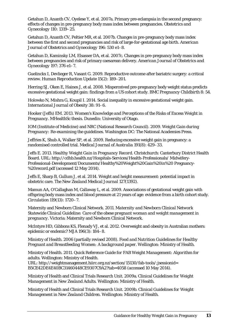Getahun D, Ananth CV, Oyelese Y, et al. 2007a. Primary pre-eclampsia in the second pregnancy: effects of changes in pre-pregnancy body mass index between pregnancies. *Obstetrics and Gynecology* 110: 1319–25.

Getahun D, Ananth CV, Peltier MR, et al. 2007b. Changes in pre-pregnancy body mass index between the first and second pregnancies and risk of large-for-gestational age birth. *American Journal of Obstetrics and Gynecology* 196: 530 e1–8.

Getahun D, Kaminsky LM, Elsasser DA, et al. 2007c. Changes in pre-pregnancy body mass index between pregnancies and risk of primary caesarean delivery. *American Journal of Obstetrics and Gynecology* 197: 376 e1–7.

Guelinckx I, Devlieger R, Vasant G. 2009. Reproductive outcome after bariatric surgery: a critical review. *[Human Reproduction Update](http://www.ncbi.nlm.nih.gov/pubmed/19136457)* 15(2): 189–201.

Herring SJ, Oken E, Haines J, et al. 2008. Misperceived pre-pregnancy body weight status predicts excessive gestational weight gain: findings from a US cohort study. *BMC Pregnancy Childbirth* 8: 54.

Holowko N, Mishra G, Koupil I. 2014. Social inequality in excessive gestational weight gain. *International Journal of Obesity* 38: 91–6.

Hooker (Jeffs) EM. 2013. *Women's Knowledge and Perceptions of the Risks of Excess Weight in Pregnancy*. MHealthSc thesis. Dunedin: University of Otago.

IOM (Institute of Medicine) and NRC (National Research Council). 2009. *Weight Gain during Pregnancy: Re-examining the guidelines*. Washington DC: The National Academies Press.

Jeffries K, Shub A, Walker SP, et al. 2009. Reducing excessive weight gain in pregnancy: a randomised controlled trial. *Medical Journal of Australia* 191(8): 429–33.

Jeffs E. 2013. *Healthy Weight Gain in Pregnancy Record*. Christchurch: Canterbury District Health Board. URL: [http://cdhb.health.nz/Hospitals-Services/Health-Professionals/ Midwifery-](http://cdhb.health.nz/Hospitals-Services/Health-Professionals/%20Midwifery-Professional-Development/Documents/Healthy%20Weight%20Gain%20in%20%20Pregnancy-%20record.pdf)[Professional-Development/Documents/Healthy%20Weight%20Gain%20in%20 Pregnancy-](http://cdhb.health.nz/Hospitals-Services/Health-Professionals/%20Midwifery-Professional-Development/Documents/Healthy%20Weight%20Gain%20in%20%20Pregnancy-%20record.pdf) [%20record.pdf](http://cdhb.health.nz/Hospitals-Services/Health-Professionals/%20Midwifery-Professional-Development/Documents/Healthy%20Weight%20Gain%20in%20%20Pregnancy-%20record.pdf) (accessed 12 May 2014).

Jeffs E, Sharp B, Gullum J, et al. 2014. Weight and height measurement: potential impact in obstetric care. *The New Zealand Medical Journal* 127(1392).

Mamun AA, [O'Callaghan M,](http://www.ncbi.nlm.nih.gov/pubmed?term=O) [Callaway L,](http://www.ncbi.nlm.nih.gov/pubmed?term=Callaway%20L%5BAuthor%5D&cauthor=true&cauthor_uid=19307476) et al. 2009. Associations of gestational weight gain with offspring body mass index and blood pressure at 21 years of age: evidence from a birth cohort study. *Circulation* 119(13): 1720–7.

Maternity and Newborn Clinical Network. 2011. *Maternity and Newborn Clinical Network Statewide Clinical Guideline: Care of the obese pregnant woman and weight management in pregnancy*. Victoria: Maternity and Newborn Clinical Network.

McIntyre HD, Gibbons KS, Flenady VJ, et al. 2012. Overweight and obesity in Australian mothers: epidemic or endemic? *MJA* 196(3): 184–8.

Ministry of Health. 2006 (partially revised 2008). *Food and Nutrition Guidelines for Healthy Pregnant and Breastfeeding Women: A background paper.* Wellington: Ministry of Health.

Ministry of Health. 2011. *Quick Reference Guide for FAB Weight Management: Algorithm for adults.* Wellington: Ministry of Health. URL[: http://weightmanagement.hiirc.org.nz/section/15130/fab-tools/;jsessionid=](http://weightmanagement.hiirc.org.nz/section/15130/fab-tools/;jsessionid=%20B5CE42DE4E40BC31460448CE9307C9A2?tab=4058)  [B5CE42DE4E40BC31460448CE9307C9A2?tab=4058](http://weightmanagement.hiirc.org.nz/section/15130/fab-tools/;jsessionid=%20B5CE42DE4E40BC31460448CE9307C9A2?tab=4058) (accessed 10 May 2014).

Ministry of Health and Clinical Trials Research Unit. 2009a. *Clinical Guidelines for Weight Management in New Zealand Adults*. Wellington: Ministry of Health.

Ministry of Health and Clinical Trials Research Unit. 2009b. *Clinical Guidelines for Weight Management in New Zealand Children*. Wellington: Ministry of Health.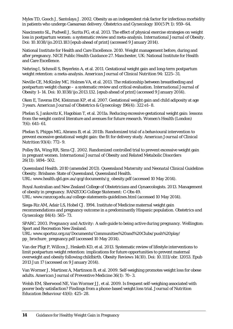Myles TD, Gooch J, Santolaya J. 2002. Obesity as an independent risk factor for infectious morbidity in patients who undergo Caesarean delivery. *Obstetrics and Gynecology* 100(5 Pt 1): 959–64.

Nascimento SL, Pudwell J, Surita FG, et al. 2013. The effect of physical exercise strategies on weight loss in postpartum women: a systematic review and meta-analysis. *International Journal of Obesity*. Doi: 10.1038/ijo.2013.183 [epub ahead of print] (accessed 9 January 2014).

National Institute for Health and Care Excellence. 2010. Weight management before, during and after pregnancy. *NICE Public Health Guidance* 27. Manchester, UK: National Institute for Health and Care Excellence.

Nehring I, Schmoll S, Beyerlein A, et al. 2011. Gestational weight gain and long-term postpartum weight retention: a meta-analysis. *American Journal of Clinical Nutrition* 94: 1225–31.

Neville CE, McKinley MC, Holmes VA, et al. 2013. The relationship between breastfeeding and postpartum weight change – a systematic review and critical evaluation. *International Journal of Obesity* 1–14. Doi: 10.1038/ijo.2013.132. [epub ahead of print] (accessed 9 January 2014).

Oken E, Taveras EM, Kleinman KP, et al. 2007. Gestational weight gain and child adiposity at age 3 years. *American Journal of Obstetrics & Gynecology* 196(4): 322 e1–8.

Phelan S, Jankovitz K, Hagobian T, et al. 2011a. Reducing excessive gestational weight gain: lessons from the weight control literature and avenues for future research. *Women's Health* (London) 7(6): 641–61.

Phelan S, Phipps MG, Abrams B, et al. 2011b. Randomized trial of a behavioural intervention to prevent excessive gestational weight gain: the fit for delivery study. *American Journal of Clinical Nutrition* 93(4): 772–9.

Polley BA, Wing RR, Sims CJ. 2002. Randomized controlled trial to prevent excessive weight gain in pregnant women. *International Journal of Obesity and Related Metabolic Disorders* 26(11): 1494–502.

Queensland Health. 2010 (amended 2013). *Queensland Maternity and Neonatal Clinical Guideline: Obesity*. Brisbane: State of Queensland, Queensland Health. URL: [www.health.qld.gov.au/qcg/documents/g\\_obesity.pdf](http://www.health.qld.gov.au/qcg/documents/g_obesity.pdf) (accessed 10 May 2014).

Royal Australian and New Zealand College of Obstetricians and Gynaecologists. 2013. Management of obesity in pregnancy*. RANZCOG College Statement: C-Obs 49*. URL: [www.ranzcog.edu.au/college-statements-guidelines.html](http://www.ranzcog.edu.au/college-statements-guidelines.html) (accessed 10 May 2014).

Siega-Riz AM, Adair LS, Hobel CJ. 1994. Institute of Medicine maternal weight gain recommendations and pregnancy outcome in a predominantly Hispanic population. *Obstetrics and Gynecology* 84(4): 565–73.

SPARC. 2003. *Pregnancy and Activity: A safe guide to being active during pregnancy.* Wellington: Sport and Recreation New Zealand.

URL: [www.sportnz.org.nz/Documents/Communities%20and%20Clubs/push%20play/](http://www.sportnz.org.nz/Documents/Communities%20and%20Clubs/push%20play/%20pp_brochure_pregnancy.pdf)  [pp\\_brochure\\_pregnancy.pdf](http://www.sportnz.org.nz/Documents/Communities%20and%20Clubs/push%20play/%20pp_brochure_pregnancy.pdf) (accessed 10 May 2014).

Van der Pligt P, Willcox J, Hesketh KD, et al. 2013. Systematic review of lifestyle interventions to limit postpartum weight retention: implications for future opportunities to prevent maternal overweight and obesity following childbirth. *Obesity Reviews* 14(10). Doi: 10.1111/obr. 12053. Epub 2013 Jun 17 (accessed on 9 January 2014).

Van Wormer J, Martinez A, Martinson B, et al. 2009. Self-weighing promotes weight loss for obese adults. *American Journal of Preventive Medicine* 36(1): 70–3.

Welsh EM, Sherwood NE, Van Wormer JJ, et al. 2009. Is frequent self-weighing associated with poorer body satisfaction? Findings from a phone-based weight loss trial. *Journal of Nutrition Education Behaviour* 41(6): 425–28.